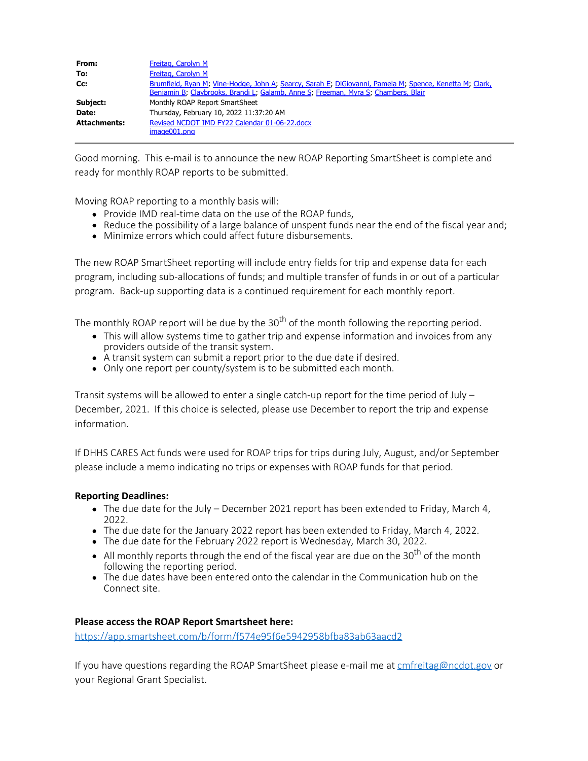| From:               | Freitag, Carolyn M                                                                                                                                                                            |
|---------------------|-----------------------------------------------------------------------------------------------------------------------------------------------------------------------------------------------|
| To:                 | Freitag, Carolyn M                                                                                                                                                                            |
| Cc:                 | Brumfield, Ryan M; Vine-Hodge, John A; Searcy, Sarah E; DiGiovanni, Pamela M; Spence, Kenetta M; Clark,<br>Benjamin B; Claybrooks, Brandi L; Galamb, Anne S; Freeman, Myra S; Chambers, Blair |
| Subject:            | Monthly ROAP Report SmartSheet                                                                                                                                                                |
| Date:               | Thursday, February 10, 2022 11:37:20 AM                                                                                                                                                       |
| <b>Attachments:</b> | Revised NCDOT IMD FY22 Calendar 01-06-22.docx<br>image001.png                                                                                                                                 |

Good morning. This e-mail is to announce the new ROAP Reporting SmartSheet is complete and ready for monthly ROAP reports to be submitted.

Moving ROAP reporting to a monthly basis will:

- Provide IMD real-time data on the use of the ROAP funds,
- Reduce the possibility of a large balance of unspent funds near the end of the fiscal year and;
- Minimize errors which could affect future disbursements.

The new ROAP SmartSheet reporting will include entry fields for trip and expense data for each program, including sub-allocations of funds; and multiple transfer of funds in or out of a particular program. Back-up supporting data is a continued requirement for each monthly report.

The monthly ROAP report will be due by the  $30<sup>th</sup>$  of the month following the reporting period.

- This will allow systems time to gather trip and expense information and invoices from any providers outside of the transit system.
- A transit system can submit a report prior to the due date if desired.
- Only one report per county/system is to be submitted each month.

Transit systems will be allowed to enter a single catch-up report for the time period of July  $-$ December, 2021. If this choice is selected, please use December to report the trip and expense information.

If DHHS CARES Act funds were used for ROAP trips for trips during July, August, and/or September please include a memo indicating no trips or expenses with ROAP funds for that period.

## **Reporting Deadlines:**

- The due date for the July December 2021 report has been extended to Friday, March 4, 2022.
- The due date for the January 2022 report has been extended to Friday, March 4, 2022.
- The due date for the February 2022 report is Wednesday, March 30, 2022.
- $\bullet$  All monthly reports through the end of the fiscal year are due on the 30<sup>th</sup> of the month following the reporting period.
- The due dates have been entered onto the calendar in the Communication hub on the Connect site.

## **Please access the ROAP Report Smartsheet here:**

<https://app.smartsheet.com/b/form/f574e95f6e5942958bfba83ab63aacd2>

If you have questions regarding the ROAP SmartSheet please e-mail me at [cmfreitag@ncdot.gov](mailto:cmfreitag@ncdot.gov) or your Regional Grant Specialist.